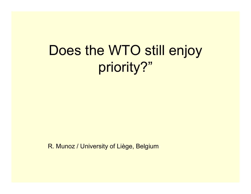# Does the WTO still enjoy priority?"

R. Munoz / University of Liège, Belgium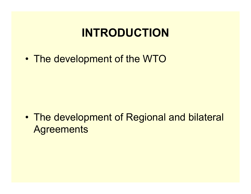## **INTRODUCTION**

•The development of the WTO

• The development of Regional and bilateral **Agreements**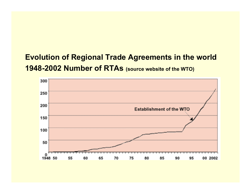#### **Evolution of Regional Trade Agreements in the world 1948-2002 Number of RTAs (source website of the WTO)**

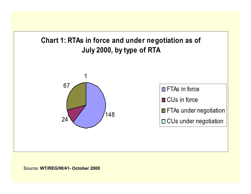

#### Source: **WT/REG/W/41- October 2000**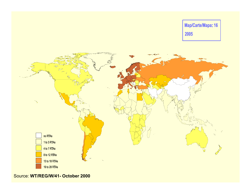Map/Carte/Mapa: 16 2005



Source: **WT/REG/W/41- October 2000**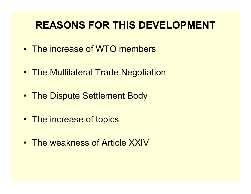#### **REASONS FOR THIS DEVELOPMENT**

- •The increase of WTO members
- The Multilateral Trade Negotiation
- The Dispute Settlement Body
- The increase of topics
- The weakness of Article XXIV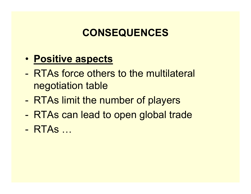### **CONSEQUENCES**

- **Positive aspects**
- RTAs force others to the multilateral negotiation table
- -RTAs limit the number of players
- -RTAs can lead to open global trade
- RTAs…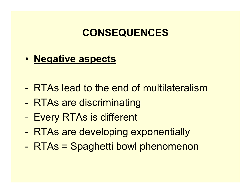#### **CONSEQUENCES**

• **Negative aspects**

- -RTAs lead to the end of multilateralism
- -- RTAs are discriminating
- -- Every RTAs is different
- -RTAs are developing exponentially
- -RTAs = Spaghetti bowl phenomenon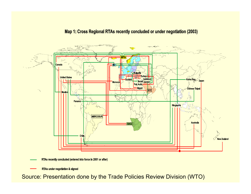

#### Map 1: Cross Regional RTAs recently concluded or under negotiation (2003)

RTAs recently concluded (entered into force in 2001 or after)

**RTAs under negotiation & signed** 

Source: Presentation done by the Trade Policies Review Division (WTO)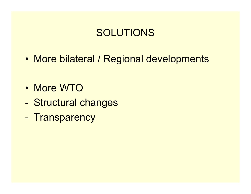#### SOLUTIONS

•More bilateral / Regional developments

- More WTO
- -- Structural changes
- -- Transparency